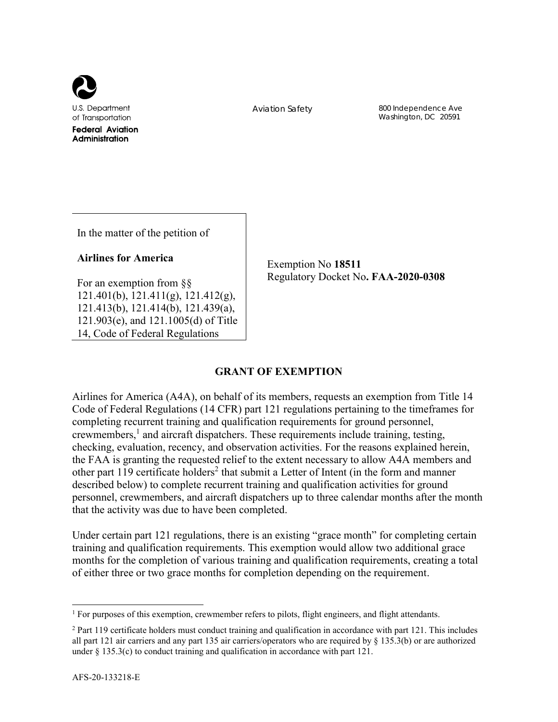

Aviation Safety 800 Independence Ave Washington, DC 20591

In the matter of the petition of

## **Airlines for America**

For an exemption from §§ 121.401(b), 121.411(g), 121.412(g), 121.413(b), 121.414(b), 121.439(a), 121.903(e), and 121.1005(d) of Title 14, Code of Federal Regulations

Exemption No **18511** Regulatory Docket No**. FAA-2020-0308**

# **GRANT OF EXEMPTION**

Airlines for America (A4A), on behalf of its members, requests an exemption from Title 14 Code of Federal Regulations (14 CFR) part 121 regulations pertaining to the timeframes for completing recurrent training and qualification requirements for ground personnel, crewmembers,<sup>1</sup> and aircraft dispatchers. These requirements include training, testing, checking, evaluation, recency, and observation activities. For the reasons explained herein, the FAA is granting the requested relief to the extent necessary to allow A4A members and other part 119 certificate holders<sup>2</sup> that submit a Letter of Intent (in the form and manner described below) to complete recurrent training and qualification activities for ground personnel, crewmembers, and aircraft dispatchers up to three calendar months after the month that the activity was due to have been completed.

Under certain part 121 regulations, there is an existing "grace month" for completing certain training and qualification requirements. This exemption would allow two additional grace months for the completion of various training and qualification requirements, creating a total of either three or two grace months for completion depending on the requirement.

<sup>&</sup>lt;sup>1</sup> For purposes of this exemption, crewmember refers to pilots, flight engineers, and flight attendants.

<sup>&</sup>lt;sup>2</sup> Part 119 certificate holders must conduct training and qualification in accordance with part 121. This includes all part 121 air carriers and any part 135 air carriers/operators who are required by § 135.3(b) or are authorized under  $\S 135.3(c)$  to conduct training and qualification in accordance with part 121.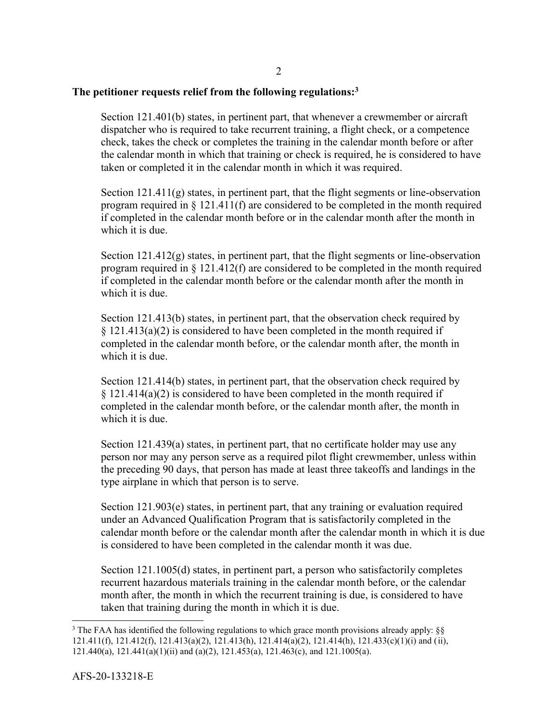### **The petitioner requests relief from the following regulations:3**

Section 121.401(b) states, in pertinent part, that whenever a crewmember or aircraft dispatcher who is required to take recurrent training, a flight check, or a competence check, takes the check or completes the training in the calendar month before or after the calendar month in which that training or check is required, he is considered to have taken or completed it in the calendar month in which it was required.

Section 121.411(g) states, in pertinent part, that the flight segments or line-observation program required in  $\S 121.411(f)$  are considered to be completed in the month required if completed in the calendar month before or in the calendar month after the month in which it is due.

Section 121.412(g) states, in pertinent part, that the flight segments or line-observation program required in  $\S 121.412(f)$  are considered to be completed in the month required if completed in the calendar month before or the calendar month after the month in which it is due.

Section 121.413(b) states, in pertinent part, that the observation check required by  $§$  121.413(a)(2) is considered to have been completed in the month required if completed in the calendar month before, or the calendar month after, the month in which it is due.

Section 121.414(b) states, in pertinent part, that the observation check required by § 121.414(a)(2) is considered to have been completed in the month required if completed in the calendar month before, or the calendar month after, the month in which it is due.

Section 121.439(a) states, in pertinent part, that no certificate holder may use any person nor may any person serve as a required pilot flight crewmember, unless within the preceding 90 days, that person has made at least three takeoffs and landings in the type airplane in which that person is to serve.

Section 121.903(e) states, in pertinent part, that any training or evaluation required under an Advanced Qualification Program that is satisfactorily completed in the calendar month before or the calendar month after the calendar month in which it is due is considered to have been completed in the calendar month it was due.

Section 121.1005(d) states, in pertinent part, a person who satisfactorily completes recurrent hazardous materials training in the calendar month before, or the calendar month after, the month in which the recurrent training is due, is considered to have taken that training during the month in which it is due.

<sup>&</sup>lt;sup>3</sup> The FAA has identified the following regulations to which grace month provisions already apply: §§ 121.411(f), 121.412(f), 121.413(a)(2), 121.413(h), 121.414(a)(2), 121.414(h), 121.433(c)(1)(i) and (ii), 121.440(a), 121.441(a)(1)(ii) and (a)(2), 121.453(a), 121.463(c), and 121.1005(a).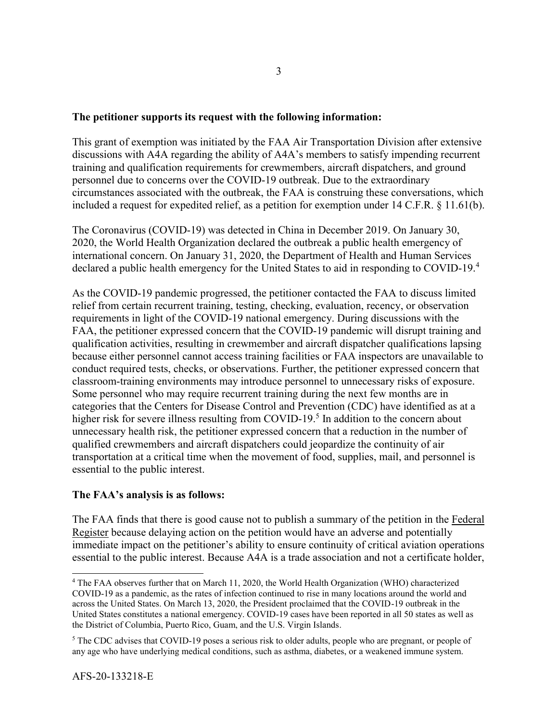### **The petitioner supports its request with the following information:**

This grant of exemption was initiated by the FAA Air Transportation Division after extensive discussions with A4A regarding the ability of A4A's members to satisfy impending recurrent training and qualification requirements for crewmembers, aircraft dispatchers, and ground personnel due to concerns over the COVID-19 outbreak. Due to the extraordinary circumstances associated with the outbreak, the FAA is construing these conversations, which included a request for expedited relief, as a petition for exemption under 14 C.F.R. § 11.61(b).

The Coronavirus (COVID-19) was detected in China in December 2019. On January 30, 2020, the World Health Organization declared the outbreak a public health emergency of international concern. On January 31, 2020, the Department of Health and Human Services declared a public health emergency for the United States to aid in responding to COVID-19.<sup>4</sup>

As the COVID-19 pandemic progressed, the petitioner contacted the FAA to discuss limited relief from certain recurrent training, testing, checking, evaluation, recency, or observation requirements in light of the COVID-19 national emergency. During discussions with the FAA, the petitioner expressed concern that the COVID-19 pandemic will disrupt training and qualification activities, resulting in crewmember and aircraft dispatcher qualifications lapsing because either personnel cannot access training facilities or FAA inspectors are unavailable to conduct required tests, checks, or observations. Further, the petitioner expressed concern that classroom-training environments may introduce personnel to unnecessary risks of exposure. Some personnel who may require recurrent training during the next few months are in categories that the Centers for Disease Control and Prevention (CDC) have identified as at a higher risk for severe illness resulting from COVID-19.<sup>5</sup> In addition to the concern about unnecessary health risk, the petitioner expressed concern that a reduction in the number of qualified crewmembers and aircraft dispatchers could jeopardize the continuity of air transportation at a critical time when the movement of food, supplies, mail, and personnel is essential to the public interest.

### **The FAA's analysis is as follows:**

The FAA finds that there is good cause not to publish a summary of the petition in the Federal Register because delaying action on the petition would have an adverse and potentially immediate impact on the petitioner's ability to ensure continuity of critical aviation operations essential to the public interest. Because A4A is a trade association and not a certificate holder,

<sup>&</sup>lt;sup>4</sup> The FAA observes further that on March 11, 2020, the World Health Organization (WHO) characterized COVID-19 as a pandemic, as the rates of infection continued to rise in many locations around the world and across the United States. On March 13, 2020, the President proclaimed that the COVID-19 outbreak in the United States constitutes a national emergency. COVID-19 cases have been reported in all 50 states as well as the District of Columbia, Puerto Rico, Guam, and the U.S. Virgin Islands.

<sup>&</sup>lt;sup>5</sup> The CDC advises that COVID-19 poses a serious risk to older adults, people who are pregnant, or people of any age who have underlying medical conditions, such as asthma, diabetes, or a weakened immune system.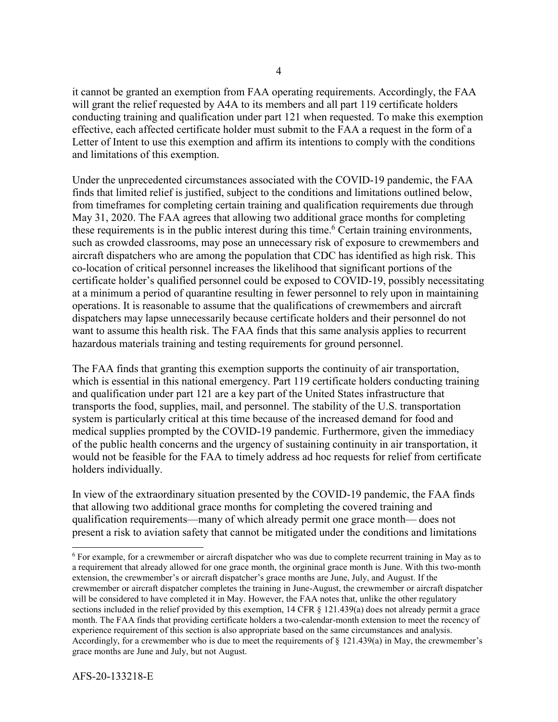it cannot be granted an exemption from FAA operating requirements. Accordingly, the FAA will grant the relief requested by A4A to its members and all part 119 certificate holders conducting training and qualification under part 121 when requested. To make this exemption effective, each affected certificate holder must submit to the FAA a request in the form of a Letter of Intent to use this exemption and affirm its intentions to comply with the conditions and limitations of this exemption.

Under the unprecedented circumstances associated with the COVID-19 pandemic, the FAA finds that limited relief is justified, subject to the conditions and limitations outlined below, from timeframes for completing certain training and qualification requirements due through May 31, 2020. The FAA agrees that allowing two additional grace months for completing these requirements is in the public interest during this time.<sup>6</sup> Certain training environments, such as crowded classrooms, may pose an unnecessary risk of exposure to crewmembers and aircraft dispatchers who are among the population that CDC has identified as high risk. This co-location of critical personnel increases the likelihood that significant portions of the certificate holder's qualified personnel could be exposed to COVID-19, possibly necessitating at a minimum a period of quarantine resulting in fewer personnel to rely upon in maintaining operations. It is reasonable to assume that the qualifications of crewmembers and aircraft dispatchers may lapse unnecessarily because certificate holders and their personnel do not want to assume this health risk. The FAA finds that this same analysis applies to recurrent hazardous materials training and testing requirements for ground personnel.

The FAA finds that granting this exemption supports the continuity of air transportation, which is essential in this national emergency. Part 119 certificate holders conducting training and qualification under part 121 are a key part of the United States infrastructure that transports the food, supplies, mail, and personnel. The stability of the U.S. transportation system is particularly critical at this time because of the increased demand for food and medical supplies prompted by the COVID-19 pandemic. Furthermore, given the immediacy of the public health concerns and the urgency of sustaining continuity in air transportation, it would not be feasible for the FAA to timely address ad hoc requests for relief from certificate holders individually.

In view of the extraordinary situation presented by the COVID-19 pandemic, the FAA finds that allowing two additional grace months for completing the covered training and qualification requirements—many of which already permit one grace month— does not present a risk to aviation safety that cannot be mitigated under the conditions and limitations

<sup>&</sup>lt;sup>6</sup> For example, for a crewmember or aircraft dispatcher who was due to complete recurrent training in May as to a requirement that already allowed for one grace month, the orgininal grace month is June. With this two-month extension, the crewmember's or aircraft dispatcher's grace months are June, July, and August. If the crewmember or aircraft dispatcher completes the training in June-August, the crewmember or aircraft dispatcher will be considered to have completed it in May. However, the FAA notes that, unlike the other regulatory sections included in the relief provided by this exemption, 14 CFR § 121.439(a) does not already permit a grace month. The FAA finds that providing certificate holders a two-calendar-month extension to meet the recency of experience requirement of this section is also appropriate based on the same circumstances and analysis. Accordingly, for a crewmember who is due to meet the requirements of § 121.439(a) in May, the crewmember's grace months are June and July, but not August.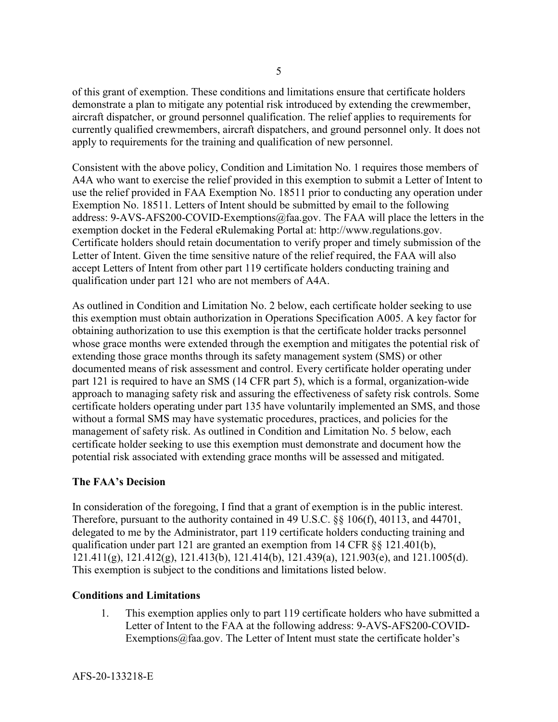of this grant of exemption. These conditions and limitations ensure that certificate holders demonstrate a plan to mitigate any potential risk introduced by extending the crewmember, aircraft dispatcher, or ground personnel qualification. The relief applies to requirements for currently qualified crewmembers, aircraft dispatchers, and ground personnel only. It does not apply to requirements for the training and qualification of new personnel.

Consistent with the above policy, Condition and Limitation No. 1 requires those members of A4A who want to exercise the relief provided in this exemption to submit a Letter of Intent to use the relief provided in FAA Exemption No. 18511 prior to conducting any operation under Exemption No. 18511. Letters of Intent should be submitted by email to the following address: 9-AVS-AFS200-COVID-Exemptions@faa.gov. The FAA will place the letters in the exemption docket in the Federal eRulemaking Portal at: http://www.regulations.gov. Certificate holders should retain documentation to verify proper and timely submission of the Letter of Intent. Given the time sensitive nature of the relief required, the FAA will also accept Letters of Intent from other part 119 certificate holders conducting training and qualification under part 121 who are not members of A4A.

As outlined in Condition and Limitation No. 2 below, each certificate holder seeking to use this exemption must obtain authorization in Operations Specification A005. A key factor for obtaining authorization to use this exemption is that the certificate holder tracks personnel whose grace months were extended through the exemption and mitigates the potential risk of extending those grace months through its safety management system (SMS) or other documented means of risk assessment and control. Every certificate holder operating under part 121 is required to have an SMS (14 CFR part 5), which is a formal, organization-wide approach to managing safety risk and assuring the effectiveness of safety risk controls. Some certificate holders operating under part 135 have voluntarily implemented an SMS, and those without a formal SMS may have systematic procedures, practices, and policies for the management of safety risk. As outlined in Condition and Limitation No. 5 below, each certificate holder seeking to use this exemption must demonstrate and document how the potential risk associated with extending grace months will be assessed and mitigated.

# **The FAA's Decision**

In consideration of the foregoing, I find that a grant of exemption is in the public interest. Therefore, pursuant to the authority contained in 49 U.S.C. §§ 106(f), 40113, and 44701, delegated to me by the Administrator, part 119 certificate holders conducting training and qualification under part 121 are granted an exemption from 14 CFR §§ 121.401(b), 121.411(g),  $121.412(g)$ ,  $121.413(b)$ ,  $121.414(b)$ ,  $121.439(a)$ ,  $121.903(e)$ , and  $121.1005(d)$ . This exemption is subject to the conditions and limitations listed below.

# **Conditions and Limitations**

1. This exemption applies only to part 119 certificate holders who have submitted a Letter of Intent to the FAA at the following address: 9-AVS-AFS200-COVID-Exemptions $@$ faa.gov. The Letter of Intent must state the certificate holder's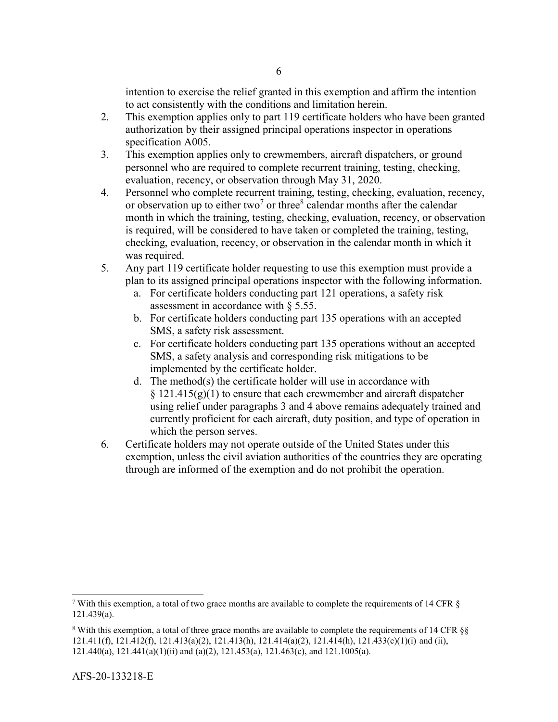intention to exercise the relief granted in this exemption and affirm the intention to act consistently with the conditions and limitation herein.

- 2. This exemption applies only to part 119 certificate holders who have been granted authorization by their assigned principal operations inspector in operations specification A005.
- 3. This exemption applies only to crewmembers, aircraft dispatchers, or ground personnel who are required to complete recurrent training, testing, checking, evaluation, recency, or observation through May 31, 2020.
- 4. Personnel who complete recurrent training, testing, checking, evaluation, recency, or observation up to either two<sup>7</sup> or three<sup>8</sup> calendar months after the calendar month in which the training, testing, checking, evaluation, recency, or observation is required, will be considered to have taken or completed the training, testing, checking, evaluation, recency, or observation in the calendar month in which it was required.
- 5. Any part 119 certificate holder requesting to use this exemption must provide a plan to its assigned principal operations inspector with the following information.
	- a. For certificate holders conducting part 121 operations, a safety risk assessment in accordance with § 5.55.
	- b. For certificate holders conducting part 135 operations with an accepted SMS, a safety risk assessment.
	- c. For certificate holders conducting part 135 operations without an accepted SMS, a safety analysis and corresponding risk mitigations to be implemented by the certificate holder.
	- d. The method(s) the certificate holder will use in accordance with  $\S 121.415(g)(1)$  to ensure that each crewmember and aircraft dispatcher using relief under paragraphs 3 and 4 above remains adequately trained and currently proficient for each aircraft, duty position, and type of operation in which the person serves.
- 6. Certificate holders may not operate outside of the United States under this exemption, unless the civil aviation authorities of the countries they are operating through are informed of the exemption and do not prohibit the operation.

l

<sup>&</sup>lt;sup>7</sup> With this exemption, a total of two grace months are available to complete the requirements of 14 CFR  $\S$ 121.439(a).

<sup>&</sup>lt;sup>8</sup> With this exemption, a total of three grace months are available to complete the requirements of 14 CFR §§ 121.411(f), 121.412(f), 121.413(a)(2), 121.413(h), 121.414(a)(2), 121.414(h), 121.433(c)(1)(i) and (ii), 121.440(a), 121.441(a)(1)(ii) and (a)(2), 121.453(a), 121.463(c), and 121.1005(a).